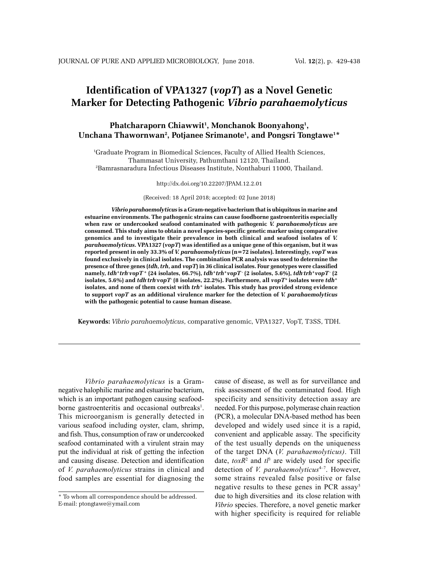# **Identification of VPA1327 (***vopT***) as a Novel Genetic Marker for Detecting Pathogenic** *Vibrio parahaemolyticus*

# **Phatcharaporn Chiawwit1 , Monchanok Boonyahong1 ,** Unchana Thawornwan<sup>2</sup>, Potjanee Srimanote<sup>1</sup>, and Pongsri Tongtawe<sup>1\*</sup>

1 Graduate Program in Biomedical Sciences, Faculty of Allied Health Sciences, Thammasat University, Pathumthani 12120, Thailand. 2 Bamrasnaradura Infectious Diseases Institute, Nonthaburi 11000, Thailand.

#### http://dx.doi.org/10.22207/JPAM.12.2.01

(Received: 18 April 2018; accepted: 02 June 2018)

*Vibrio parahaemolyticus* **is a Gram-negative bacterium that is ubiquitous in marine and estuarine environments. The pathogenic strains can cause foodborne gastroenteritis especially when raw or undercooked seafood contaminated with pathogenic** *V. parahaemolyticus* **are consumed. This study aims to obtain a novel species-specific genetic marker using comparative genomics and to investigate their prevalence in both clinical and seafood isolates of** *V. parahaemolyticus***. VPA1327 (***vopT***) was identified as a unique gene of this organism, but it was reported present in only 33.3% of** *V. parahaemolyticus* **(n=72 isolates). Interestingly,** *vopT* **was found exclusively in clinical isolates. The combination PCR analysis was used to determine the presence of three genes (***tdh***,** *trh***, and** *vopT***) in 36 clinical isolates. Four genotypes were classified**  namely,  $tdh^+trhvopT^+(24\text{ isolates}, 66.7\%)$ ,  $tdh^+trh^+vopT^-(2\text{ isolates}, 5.6\%),\,tdh^+trh^+vopT^-(2$ <code>isolates, 5.6%)</code> and  $tdh$   $th$   $rb$   $vop$   $T$   $(8$  isolates, 22.2%). Furthermore, all  $vop$   $T^{\ast}$  isolates were  $tdh$   $^{\ast}$ **isolates, and none of them coexist with** *trh***+ isolates***.* **This study has provided strong evidence to support** *vopT* **as an additional virulence marker for the detection of** *V. parahaemolyticus* **with the pathogenic potential to cause human disease.** 

**Keywords:** *Vibrio parahaemolyticus*, comparative genomic, VPA1327, VopT, T3SS, TDH.

*Vibrio parahaemolyticus* is a Gramnegative halophilic marine and estuarine bacterium, which is an important pathogen causing seafoodborne gastroenteritis and occasional outbreaks<sup>1</sup>. This microorganism is generally detected in various seafood including oyster, clam, shrimp, and fish. Thus, consumption of raw or undercooked seafood contaminated with a virulent strain may put the individual at risk of getting the infection and causing disease. Detection and identification of *V. parahaemolyticus* strains in clinical and food samples are essential for diagnosing the cause of disease, as well as for surveillance and risk assessment of the contaminated food. High specificity and sensitivity detection assay are needed. For this purpose, polymerase chain reaction (PCR), a molecular DNA-based method has been developed and widely used since it is a rapid, convenient and applicable assay. The specificity of the test usually depends on the uniqueness of the target DNA (*V. parahaemolyticus)*. Till date,  $toxR<sup>2</sup>$  and  $t<sup>3</sup>$  are widely used for specific detection of *V. parahaemolyticus*<sup>4-7</sup>. However, some strains revealed false positive or false negative results to these genes in PCR assay<sup>5</sup> due to high diversities and its close relation with *Vibrio* species. Therefore, a novel genetic marker with higher specificity is required for reliable

<sup>\*</sup> To whom all correspondence should be addressed. E-mail: ptongtawe@ymail.com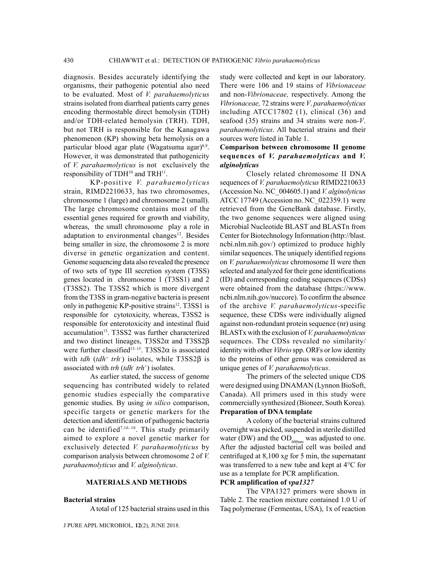diagnosis. Besides accurately identifying the organisms, their pathogenic potential also need to be evaluated. Most of *V. parahaemolyticus* strains isolated from diarrheal patients carry genes encoding thermostable direct hemolysin (TDH) and/or TDH-related hemolysin (TRH). TDH, but not TRH is responsible for the Kanagawa phenomenon (KP) showing beta hemolysis on a particular blood agar plate (Wagatsuma agar)<sup>8,9</sup>. However, it was demonstrated that pathogenicity of *V. parahaemolyticus* is not exclusively the responsibility of TDH<sup>10</sup> and TRH<sup>11</sup>.

KP-positive *V. parahaemolyticus*  strain, RIMD2210633, has two chromosomes, chromosome 1 (large) and chromosome 2 (small). The large chromosome contains most of the essential genes required for growth and viability, whereas, the small chromosome play a role in adaptation to environmental changes<sup>12</sup>. Besides being smaller in size, the chromosome 2 is more diverse in genetic organization and content. Genome sequencing data also revealed the presence of two sets of type III secretion system (T3SS) genes located in chromosome 1 (T3SS1) and 2 (T3SS2). The T3SS2 which is more divergent from the T3SS in gram-negative bacteria is present only in pathogenic KP-positive strains<sup>12</sup>. T3SS1 is responsible for cytotoxicity, whereas, T3SS2 is responsible for enterotoxicity and intestinal fluid accumulation<sup>13</sup>. T3SS2 was further characterized and two distinct lineages, T3SS2 $\alpha$  and T3SS2 $\beta$ were further classified<sup>13-15</sup>. T3SS2 $\alpha$  is associated with *tdh* (*tdh*<sup>+</sup> *trh*) isolates, while T3SS2 $\beta$  is associated with *trh* (*tdh*- *trh*<sup>+</sup> ) isolates.

As earlier stated, the success of genome sequencing has contributed widely to related genomic studies especially the comparative genomic studies. By using *in silico* comparison, specific targets or genetic markers for the detection and identification of pathogenic bacteria can be identified<sup>7,16-18</sup>. This study primarily aimed to explore a novel genetic marker for exclusively detected *V. parahaemolyticus* by comparison analysis between chromosome 2 of *V. parahaemolyticus* and *V. alginolyticus*.

### **MATERIALS AND METHODS**

### **Bacterial strains**

A total of 125 bacterial strains used in this

J PURE APPL MICROBIOl*,* **12**(2), June 2018.

study were collected and kept in our laboratory. There were 106 and 19 stains of *Vibrionaceae* and non-*Vibrionaceae,* respectively. Among the *Vibrionaceae,* 72 strains were *V*. *parahaemolyticus* including ATCC17802 (1), clinical (36) and seafood (35) strains and 34 strains were non-*V*. *parahaemolyticus*. All bacterial strains and their sources were listed in Table 1.

## **Comparison between chromosome II genome sequences of** *V. parahaemolyticus* **and** *V. alginolyticus*

Closely related chromosome II DNA sequences of *V. parahaemolyticus* RIMD2210633 (Accession No. NC\_004605.1) and *V. alginolyticus* ATCC 17749 (Accession no. NC\_022359.1) were retrieved from the GeneBank database. Firstly, the two genome sequences were aligned using Microbial Nucleotide BLAST and BLASTn from Center for Biotechnology Information (http://blast. ncbi.nlm.nih.gov/) optimized to produce highly similar sequences. The uniquely identified regions on *V. parahaemolyticus* chromosome II were then selected and analyzed for their gene identifications (ID) and corresponding coding sequences (CDSs) were obtained from the database (https://www. ncbi.nlm.nih.gov/nuccore). To confirm the absence of the archive *V. parahaemolyticus*-specific sequence, these CDSs were individually aligned against non-redundant protein sequence (nr) using BLASTx with the exclusion of *V. parahaemolyticus* sequences. The CDSs revealed no similarity/ identity with other *Vibrio* spp. ORFs or low identity to the proteins of other genus was considered as unique genes of *V. parahaemolyticus*.

The primers of the selected unique CDS were designed using DNAMAN (Lynnon BioSoft, Canada). All primers used in this study were commercially synthesized (Bioneer, South Korea). **Preparation of DNA template**

A colony of the bacterial strains cultured overnight was picked, suspended in sterile distilled water (DW) and the  $OD_{600nm}$  was adjusted to one. After the adjusted bacterial cell was boiled and centrifuged at 8,100 x*g* for 5 min, the supernatant was transferred to a new tube and kept at 4°C for use as a template for PCR amplification.

### **PCR amplification of** *vpa1327*

The VPA1327 primers were shown in Table 2. The reaction mixture contained 1.0 U of Taq polymerase (Fermentas, USA), 1x of reaction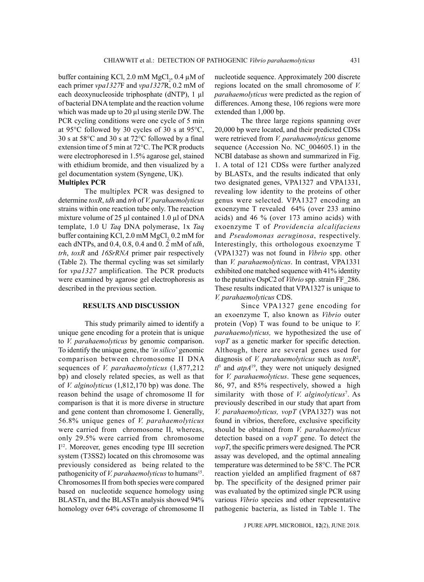buffer containing KCl, 2.0 mM  $MgCl<sub>2</sub>$ , 0.4 µM of each primer *vpa1327*F and *vpa1327*R, 0.2 mM of each deoxynucleoside triphosphate (dNTP), 1 µl of bacterial DNA template and the reaction volume which was made up to 20 µl using sterile DW. The PCR cycling conditions were one cycle of 5 min at 95°C followed by 30 cycles of 30 s at 95°C, 30 s at 58°C and 30 s at 72°C followed by a final extension time of 5 min at 72°C. The PCR products were electrophoresed in 1.5% agarose gel, stained with ethidium bromide, and then visualized by a gel documentation system (Syngene, UK).

# **Multiplex PCR**

The multiplex PCR was designed to determine *toxR*, *tdh* and *trh* of *V. parahaemolyticus* strains within one reaction tube only. The reaction mixture volume of 25 µl contained 1.0 µl of DNA template, 1.0 U *Taq* DNA polymerase, 1x *Taq* buffer containing KCl, 2.0 mM MgCl, 0.2 mM for each dNTPs, and 0.4, 0.8, 0.4 and 0. 2 mM of *tdh*, *trh*, *toxR* and *16SrRNA* primer pair respectively (Table 2). The thermal cycling was set similarly for *vpa1327* amplification. The PCR products were examined by agarose gel electrophoresis as described in the previous section.

### **RESULTS AND DISCUSSION**

This study primarily aimed to identify a unique gene encoding for a protein that is unique to *V. parahaemolyticus* by genomic comparison. To identify the unique gene, the *'in silico*' genomic comparison between chromosome II DNA sequences of *V. parahaemolyticus* (1,877,212 bp) and closely related species, as well as that of *V. alginolyticus* (1,812,170 bp) was done. The reason behind the usage of chromosome II for comparison is that it is more diverse in structure and gene content than chromosome I. Generally, 56.8% unique genes of *V. parahaemolyticus*  were carried from chromosome II, whereas, only 29.5% were carried from chromosome I 12. Moreover, genes encoding type III secretion system (T3SS2) located on this chromosome was previously considered as being related to the pathogenicity of *V. parahaemolyticus* to humans<sup>15</sup>. Chromosomes II from both species were compared based on nucleotide sequence homology using BLASTn, and the BLASTn analysis showed 94% homology over 64% coverage of chromosome II

nucleotide sequence. Approximately 200 discrete regions located on the small chromosome of *V. parahaemolyticus* were predicted as the region of differences. Among these, 106 regions were more extended than 1,000 bp.

The three large regions spanning over 20,000 bp were located, and their predicted CDSs were retrieved from *V. parahaemolyticus* genome sequence (Accession No. NC\_004605.1) in the NCBI database as shown and summarized in Fig. 1. A total of 121 CDSs were further analyzed by BLASTx, and the results indicated that only two designated genes, VPA1327 and VPA1331, revealing low identity to the proteins of other genus were selected. VPA1327 encoding an exoenzyme T revealed 64% (over 233 amino acids) and 46 % (over 173 amino acids) with exoenzyme T of *Providencia alcalifaciens* and *Pseudomonas aeruginosa*, respectively. Interestingly, this orthologous exoenzyme T (VPA1327) was not found in *Vibrio* spp. other than *V. parahaemolyticus*. In contrast, VPA1331 exhibited one matched sequence with 41% identity to the putative OspC2 of *Vibrio* spp. strain FF\_286. These results indicated that VPA1327 is unique to *V. parahaemolyticus* CDS.

Since VPA1327 gene encoding for an exoenzyme T, also known as *Vibrio* outer protein (Vop) T was found to be unique to *V. parahaemolyticus,* we hypothesized the use of *vopT* as a genetic marker for specific detection. Although, there are several genes used for diagnosis of *V. parahaemolyticus* such as *toxR*<sup>2</sup> ,  $t^{3}$  and  $atpA^{19}$ , they were not uniquely designed for *V. parahaemolyticus*. These gene sequences, 86, 97, and 85% respectively, showed a high similarity with those of *V. alginolyticus<sup>7</sup>*. As previously described in our study that apart from *V. parahaemolyticus, vopT* (VPA1327) was not found in vibrios, therefore, exclusive specificity should be obtained from *V. parahaemolyticus* detection based on a *vopT* gene. To detect the *vopT*, the specific primers were designed. The PCR assay was developed, and the optimal annealing temperature was determined to be 58°C. The PCR reaction yielded an amplified fragment of 687 bp. The specificity of the designed primer pair was evaluated by the optimized single PCR using various *Vibrio* species and other representative pathogenic bacteria, as listed in Table 1. The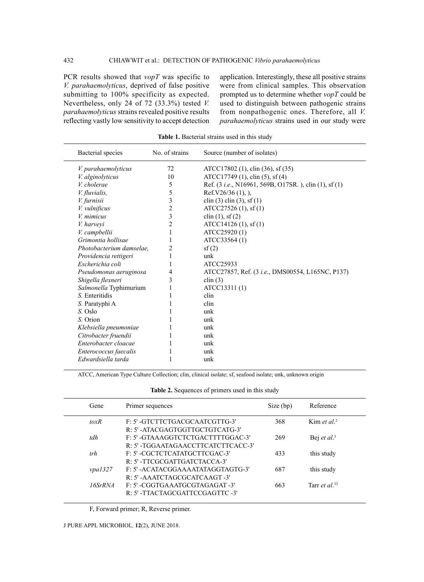PCR results showed that *vopT* was specific to *V. parahaemolyticus*, deprived of false positive submitting to 100% specificity as expected. Nevertheless, only 24 of 72 (33.3%) tested *V. parahaemolyticus* strains revealed positive results reflecting vastly low sensitivity to accept detection application. Interestingly, these all positive strains were from clinical samples. This observation prompted us to determine whether *vopT* could be used to distinguish between pathogenic strains from nonpathogenic ones. Therefore, all *V. parahaemolyticus* strains used in our study were

| Bacterial species        | No. of strains | Source (number of isolates)                                   |
|--------------------------|----------------|---------------------------------------------------------------|
| V. parahaemolyticus      | 72             | ATCC17802 (1), clin (36), sf (35)                             |
| <i>V. alginolyticus</i>  | 10             | ATCC17749 (1), clin (5), sf (4)                               |
| V. cholerae              | 5              | Ref. (3 <i>i.e.</i> , N16961, 569B, O17SR.), clin (1), sf (1) |
| <i>V. fluvialis,</i>     | 5              | Ref. $V26/36(1)$ , ),                                         |
| V. furnisii              | 3              | clin (3) clin (3), sf (1)                                     |
| V. vulnificus            | 2              | ATCC27526(1), sf(1)                                           |
| V. mimicus               | 3              | $\text{clip}(1), \text{sf}(2)$                                |
| V. harvevi               | $\overline{c}$ | ATCC14126 (1), sf (1)                                         |
| V. campbellii            | 1              | ATCC25920 (1)                                                 |
| Grimontia hollisae       | 1              | ATCC33564 (1)                                                 |
| Photobacterium damselae. | 2              | sf(2)                                                         |
| Providencia rettigeri    | 1              | unk                                                           |
| Escherichia coli         | 1              | ATCC25933                                                     |
| Pseudomonas aeruginosa   | 4              | ATCC27857, Ref. (3 <i>i.e.</i> , DMS00554, L165NC, P137)      |
| Shigella flexneri        | 3              | clin $(3)$                                                    |
| Salmonella Typhimurium   |                | ATCC13311 (1)                                                 |
| S. Enteritidis           |                | clin                                                          |
| S. Paratyphi A           |                | clin                                                          |
| S. Oslo                  |                | unk                                                           |
| S. Orion                 |                | unk                                                           |
| Klebsiella pneumoniae    |                | unk                                                           |
| Citrobacter fruendii     |                | unk                                                           |
| Enterobacter cloacae     | 1              | unk                                                           |
| Enterococcus faecalis    |                | unk                                                           |
| Edwardsiella tarda       |                | unk                                                           |
|                          |                |                                                               |

**Table 1.** Bacterial strains used in this study

ATCC, American Type Culture Collection; clin, clinical isolate; sf, seafood isolate; unk, unknown origin

**Table 2.** Sequences of primers used in this study

| Gene    | Primer sequences                  | Size (bp) | Reference                         |
|---------|-----------------------------------|-----------|-----------------------------------|
| toxR    | F: 5' -GTCTTCTGACGCAATCGTTG-3'    | 368       | Kim <i>et al.</i> <sup>2</sup>    |
|         | R: 5'-ATACGAGTGGTTGCTGTCATG-3'    |           |                                   |
| tdh     | F: 5'-GTAAAGGTCTCTGACTTTTGGAC-3'  | 269       | Bej <i>et al</i> . <sup>3</sup>   |
|         | R: 5'-TGGAATAGAACCTTCATCTTCACC-3' |           |                                   |
| trh     | F: 5' -CGCTCTCATATGCTTCGAC-3'     | 433       | this study                        |
|         | R: 5'-TTCGCGATTGATCTACCA-3'       |           |                                   |
| vpa1327 | F: 5'-ACATACGGAAAATATAGGTAGTG-3'  | 687       | this study                        |
|         | R: 5'-AAATCTAGCGCATCAAGT-3'       |           |                                   |
| 16SrRNA | F: 5' -CGGTGAAATGCGTAGAGAT -3'    | 663       | Tarr <i>et al</i> . <sup>33</sup> |
|         | R: 5' -TTACTAGCGATTCCGAGTTC -3'   |           |                                   |
|         |                                   |           |                                   |

F, Forward primer; R, Reverse primer.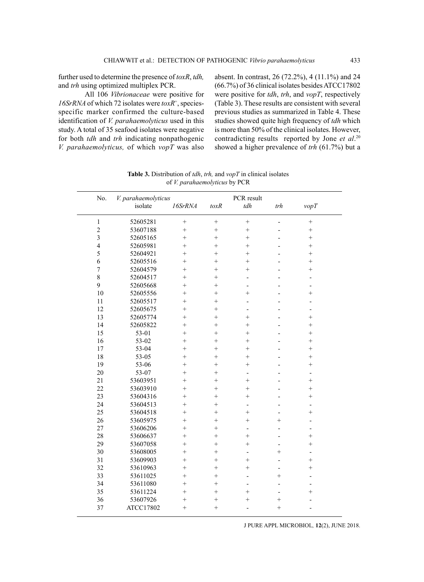further used to determine the presence of *toxR*, *tdh,* and *trh* using optimized multiplex PCR.

All 106 *Vibrionaceae* were positive for *16SrRNA* of which 72 isolates were *toxR*<sup>+</sup> , speciesspecific marker confirmed the culture-based identification of *V. parahaemolyticus* used in this study. A total of 35 seafood isolates were negative for both *tdh* and *trh* indicating nonpathogenic *V. parahaemolyticus,* of which *vopT* was also absent. In contrast, 26 (72.2%), 4 (11.1%) and 24 (66.7%) of 36 clinical isolates besides ATCC17802 were positive for *tdh*, *trh*, and *vopT*, respectively (Table 3). These results are consistent with several previous studies as summarized in Table 4. These studies showed quite high frequency of *tdh* which is more than 50% of the clinical isolates. However, contradicting results reported by Jone *et al*. 20 showed a higher prevalence of *trh* (61.7%) but a

| No.                     | V. parahaemolyticus |           |           | PCR result               |                          |                |  |
|-------------------------|---------------------|-----------|-----------|--------------------------|--------------------------|----------------|--|
|                         | isolate             | 16SrRNA   | toxR      | tdh                      | trh                      | vopT           |  |
| $\mathbf{1}$            | 52605281            | $^{+}$    | $^{+}$    |                          |                          | $^{+}$         |  |
| $\overline{c}$          | 53607188            | $^{+}$    | $\ddot{}$ | $+$                      |                          | $^{+}$         |  |
| $\overline{\mathbf{3}}$ | 52605165            | $^{+}$    | $^{+}$    | $^{+}$                   |                          | $^{+}$         |  |
| $\overline{4}$          | 52605981            | $\ddot{}$ | $^{+}$    | $^{+}$                   |                          | $^{+}$         |  |
| 5                       | 52604921            | $^{+}$    | $^{+}$    | $^{+}$                   |                          | $^{+}$         |  |
| 6                       | 52605516            | $\ddot{}$ | $^{+}$    | $\ddot{}$                |                          | $^{+}$         |  |
| $\overline{7}$          | 52604579            | $^{+}$    | $^{+}$    | $^{+}$                   |                          | $^{+}$         |  |
| 8                       | 52604517            | $^{+}$    | $^{+}$    | $\overline{a}$           |                          |                |  |
| 9                       | 52605668            | $^{+}$    | $^{+}$    | $\overline{a}$           |                          | $\overline{a}$ |  |
| 10                      | 52605556            | $\ddot{}$ | $^{+}$    | $^{+}$                   |                          | $^{+}$         |  |
| 11                      | 52605517            | $\ddot{}$ | $^{+}$    | $\overline{a}$           |                          |                |  |
| 12                      | 52605675            | $^{+}$    | $^{+}$    | $\overline{a}$           |                          |                |  |
| 13                      | 52605774            | $^{+}$    | $^{+}$    | $^{+}$                   |                          | $^{+}$         |  |
| 14                      | 52605822            | $^{+}$    | $^{+}$    | $^{+}$                   |                          | $^{+}$         |  |
| 15                      | 53-01               | $^{+}$    | $^{+}$    | $^{+}$                   |                          | $^{+}$         |  |
| 16                      | 53-02               | $^{+}$    | $^{+}$    | $^{+}$                   |                          | $^{+}$         |  |
| 17                      | 53-04               | $\ddot{}$ | $^{+}$    | $^{+}$                   |                          | $^{+}$         |  |
| 18                      | 53-05               | $^{+}$    | $^{+}$    | $^{+}$                   |                          | $^{+}$         |  |
| 19                      | 53-06               | $\ddot{}$ | $^{+}$    | $^{+}$                   |                          | $\ddot{}$      |  |
| 20                      | 53-07               | $^{+}$    | $^{+}$    | $\overline{a}$           |                          | $\overline{a}$ |  |
| 21                      | 53603951            | $^{+}$    | $^{+}$    | $^{+}$                   |                          | $^{+}$         |  |
| 22                      | 53603910            | $^{+}$    | $^{+}$    | $^{+}$                   |                          | $^{+}$         |  |
| 23                      | 53604316            | $\ddot{}$ | $^{+}$    | $\ddot{}$                |                          | $^{+}$         |  |
| 24                      | 53604513            | $^{+}$    | $^{+}$    | $\overline{\phantom{a}}$ |                          | $\overline{a}$ |  |
| 25                      | 53604518            | $\ddot{}$ | $^{+}$    | $^{+}$                   |                          | $^{+}$         |  |
| 26                      | 53605975            | $^{+}$    | $^{+}$    | $^{+}$                   | $\ddot{}$                |                |  |
| 27                      | 53606206            | $^{+}$    | $^{+}$    | $\overline{a}$           |                          |                |  |
| 28                      | 53606637            | $^{+}$    | $^{+}$    | $^{+}$                   | $\overline{\phantom{0}}$ | $^{+}$         |  |
| 29                      | 53607058            | $^{+}$    | $^{+}$    | $^{+}$                   |                          | $^{+}$         |  |
| 30                      | 53608005            | $^{+}$    | $^{+}$    | $\overline{a}$           | $\ddot{}$                | $\overline{a}$ |  |
| 31                      | 53609903            | $\ddot{}$ | $^{+}$    | $^{+}$                   |                          | $^{+}$         |  |
| 32                      | 53610963            | $\ddot{}$ | $^{+}$    | $^{+}$                   |                          | $\ddot{}$      |  |
| 33                      | 53611025            | $^{+}$    | $^{+}$    |                          | $\ddot{}$                |                |  |
| 34                      | 53611080            | $^{+}$    | $^{+}$    | $\overline{a}$           |                          |                |  |
| 35                      | 53611224            | $^{+}$    | $^{+}$    | $^{+}$                   | $\overline{a}$           | $^{+}$         |  |
| 36                      | 53607926            | $\ddot{}$ | $^{+}$    | $^{+}$                   | $^{+}$                   |                |  |
| 37                      | ATCC17802           | $^{+}$    | $^{+}$    |                          | $^{+}$                   |                |  |

**Table 3.** Distribution of *tdh*, *trh,* and *vopT* in clinical isolates of *V. parahaemolyticus* by PCR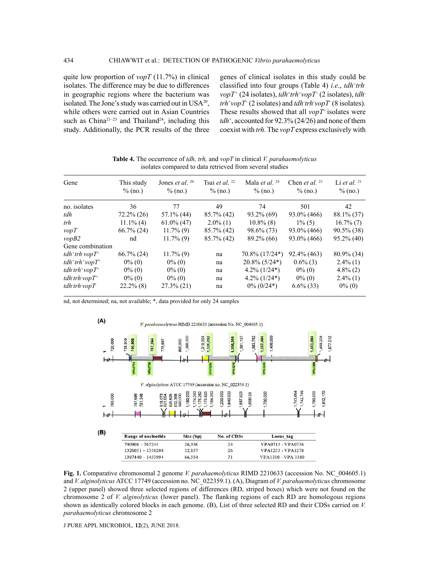quite low proportion of *vopT* (11.7%) in clinical isolates. The difference may be due to differences in geographic regions where the bacterium was isolated. The Jone's study was carried out in  $USA^{20}$ , while others were carried out in Asian Countries such as China<sup>21-23</sup> and Thailand<sup>24</sup>, including this study. Additionally, the PCR results of the three

genes of clinical isolates in this study could be classified into four groups (Table 4) *i.e.*, *tdh*<sup>+</sup>*trh*<sup>-</sup> *vopT* + (24 isolates), *tdh*<sup>+</sup> *trh*<sup>+</sup> *vopT* - (2 isolates), *tdh* $trh<sup>+</sup>$ *vopT*<sup>-</sup> (2 isolates) and *tdh*-*trh*-*vopT*<sup>-</sup> (8 isolates). These results showed that all *vopT*+ isolates were *tdh*<sup>+</sup> , accounted for 92.3% (24/26) and none of them coexist with *trh*. The *vopT* express exclusively with

**Table 4.** The occurrence of *tdh, trh,* and *vopT* in clinical *V. parahaemolyticus*  isolates compared to data retrieved from several studies

| Gene                                                            | This study<br>$\%$ (no.) | Jones <i>et al.</i> $^{20}$<br>$\%$ (no.) | Tsai <i>et al.</i> $^{22}$<br>$\%$ (no.) | Mala <i>et al.</i> $^{24}$<br>$\%$ (no.) | Chen <i>et al.</i> $^{23}$<br>$\%$ (no.) | Li et al. $21$<br>$\%$ (no.) |
|-----------------------------------------------------------------|--------------------------|-------------------------------------------|------------------------------------------|------------------------------------------|------------------------------------------|------------------------------|
| no. isolates                                                    | 36                       | 77                                        | 49                                       | 74                                       | 501                                      | 42                           |
| tdh                                                             | $72.2\% (26)$            | $57.1\%$ (44)                             | $85.7\%$ (42)                            | $93.2\%$ (69)                            | $93.0\%$ (466)                           | 88.1% (37)                   |
| trh                                                             | $11.1\%$ (4)             | $61.0\%$ (47)                             | $2.0\%$ (1)                              | $10.8\%$ (8)                             | $1\%$ (5)                                | $16.7\%$ (7)                 |
| $\nu opT$                                                       | $66.7\%$ (24)            | $11.7\%$ (9)                              | $85.7\%$ (42)                            | 98.6% (73)                               | $93.0\%$ (466)                           | $90.5\%$ (38)                |
| vopB2                                                           | nd                       | $11.7\%$ (9)                              | 85.7% (42)                               | 89.2% (66)                               | $93.0\%$ (466)                           | $95.2\%$ (40)                |
| Gene combination                                                |                          |                                           |                                          |                                          |                                          |                              |
| $tdh^+trh$ vop $T^+$                                            | $66.7\%$ (24)            | $11.7\%$ (9)                              | na                                       | 70.8% (17/24*)                           | 92.4% (463)                              | $80.9\%$ (34)                |
| $tdh^+trh^+vopT^+$                                              | $0\%$ (0)                | $0\%$ (0)                                 | na                                       | $20.8\%$ (5/24 <sup>*</sup> )            | $0.6\%$ (3)                              | $2.4\%$ (1)                  |
| $tdh^+trh^+vopT^+$                                              | $0\%$ (0)                | $0\%$ (0)                                 | na                                       | $4.2\%$ (1/24*)                          | $0\%$ (0)                                | $4.8\%$ (2)                  |
| $tdh$ <sup>+</sup> $t$ $rb$ <sup>+</sup> $v$ $opT$ <sup>+</sup> | $0\%$ (0)                | $0\%$ (0)                                 | na                                       | $4.2\%$ (1/24*)                          | $0\%$ (0)                                | $2.4\%$ (1)                  |
| $tdh$ <sup>trh</sup> vop $T$                                    | $22.2\%$ (8)             | $27.3\%$ (21)                             | na                                       | $0\%$ (0/24*)                            | $6.6\%$ (33)                             | $0\%$ (0)                    |

nd, not determined; na, not available; \*, data provided for only 24 samples



**Fig. 1.** Comparative chromosomal 2 genome *V. parahaemolyticus* RIMD 2210633 (accession No. NC\_004605.1) and *V. alginolyticus* ATCC 17749 (accession no. NC\_022359.1). (A), Diagram of *V. parahaemolyticus* chromosome 2 (upper panel) showed three selected regions of differences (RD, striped boxes) which were not found on the chromosome 2 of *V. alginolyticus* (lower panel). The flanking regions of each RD are homologous regions shown as identically colored blocks in each genome. (B), List of three selected RD and their CDSs carried on *V. parahaemolyticus* chromosome 2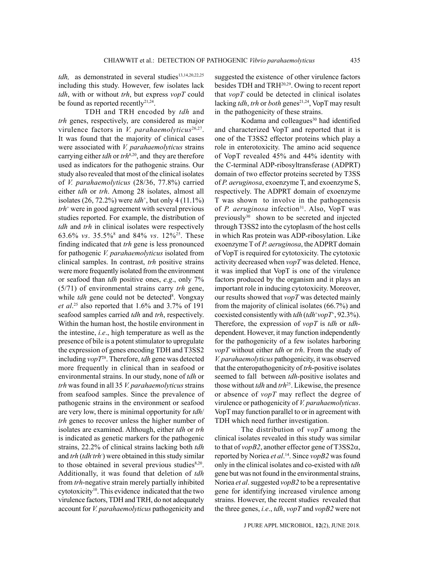tdh, as demonstrated in several studies<sup>13,14,20,22,25</sup> including this study. However, few isolates lack *tdh*, with or without *trh*, but express *vopT* could be found as reported recently<sup>21,24</sup>.

TDH and TRH encoded by *tdh* and *trh* genes, respectively, are considered as major virulence factors in *V. parahaemolyticus*<sup>26,27</sup>. It was found that the majority of clinical cases were associated with *V. parahaemolyticus* strains carrying either *tdh* or *trh*8,20, and they are therefore used as indicators for the pathogenic strains. Our study also revealed that most of the clinical isolates of *V. parahaemolyticus* (28/36, 77.8%) carried either *tdh* or *trh*. Among 28 isolates, almost all isolates (26, 72.2%) were *tdh*<sup>+</sup> , but only 4 (11.1%) *trh*<sup>+</sup> were in good agreement with several previous studies reported. For example, the distribution of *tdh* and *trh* in clinical isolates were respectively 63.6% *vs*. 35.5%8 and 84% *vs*. 12%25. These finding indicated that *trh* gene is less pronounced for pathogenic *V. parahaemolyticus* isolated from clinical samples. In contrast, *trh* positive strains were more frequently isolated from the environment or seafood than *tdh* positive ones, *e.g*., only 7% (5/71) of environmental strains carry *trh* gene, while *tdh* gene could not be detected<sup>8</sup>. Vongxay *et al*. 25 also reported that 1.6% and 3.7% of 191 seafood samples carried *tdh* and *trh*, respectively. Within the human host, the hostile environment in the intestine, *i.e*., high temperature as well as the presence of bile is a potent stimulator to upregulate the expression of genes encoding TDH and T3SS2 including *vopT*28. Therefore, *tdh* gene was detected more frequently in clinical than in seafood or environmental strains. In our study, none of *tdh* or *trh* was found in all 35 *V. parahaemolyticus* strains from seafood samples. Since the prevalence of pathogenic strains in the environment or seafood are very low, there is minimal opportunity for *tdh*/ *trh* genes to recover unless the higher number of isolates are examined. Although, either *tdh* or *trh* is indicated as genetic markers for the pathogenic strains, 22.2% of clinical strains lacking both *tdh* and *trh* (*tdh*-*trh*- ) were obtained in this study similar to those obtained in several previous studies $8,20$ . Additionally, it was found that deletion of *tdh* from *trh*-negative strain merely partially inhibited cytotoxicity<sup>10</sup>. This evidence indicated that the two virulence factors, TDH and TRH, do not adequately account for *V. parahaemolyticus* pathogenicity and

suggested the existence of other virulence factors besides TDH and TRH20,29. Owing to recent report that *vopT* could be detected in clinical isolates lacking *tdh*, *trh* or *both* genes<sup>21,24</sup>, VopT may result in the pathogenicity of these strains.

Kodama and colleagues<sup>30</sup> had identified and characterized VopT and reported that it is one of the T3SS2 effector proteins which play a role in enterotoxicity. The amino acid sequence of VopT revealed 45% and 44% identity with the C-terminal ADP-ribosyltransferase (ADPRT) domain of two effector proteins secreted by T3SS of *P. aeruginosa*, exoenzyme T, and exoenzyme S, respectively. The ADPRT domain of exoenzyme T was shown to involve in the pathogenesis of *P. aeruginosa* infection<sup>31</sup>. Also, VopT was previously<sup>30</sup> shown to be secreted and injected through T3SS2 into the cytoplasm of the host cells in which Ras protein was ADP-ribosylation. Like exoenzyme T of *P. aeruginosa*, the ADPRT domain of VopT is required for cytotoxicity. The cytotoxic activity decreased when *vopT* was deleted. Hence, it was implied that VopT is one of the virulence factors produced by the organism and it plays an important role in inducing cytotoxicity. Moreover, our results showed that *vopT* was detected mainly from the majority of clinical isolates (66.7%) and coexisted consistently with *tdh* (*tdh*<sup>+</sup> *vopT*<sup>+</sup> , 92.3%). Therefore, the expression of *vopT* is *tdh* or *tdh*dependent. However, it may function independently for the pathogenicity of a few isolates harboring *vopT* without either *tdh* or *trh*. From the study of *V. parahaemolyticus* pathogenicity, it was observed that the enteropathogenicity of *trh*-positive isolates seemed to fall between *tdh*-positive isolates and those without *tdh* and *trh*25. Likewise, the presence or absence of *vopT* may reflect the degree of virulence or pathogenicity of *V. parahaemolyticus*. VopT may function parallel to or in agreement with TDH which need further investigation.

The distribution of *vopT* among the clinical isolates revealed in this study was similar to that of *vopB2*, another effector gene of T3SS2 $\alpha$ , reported by Noriea *et al*. 14. Since *vopB2* was found only in the clinical isolates and co-existed with *tdh* gene but was not found in the environmental strains, Noriea *et al*. suggested *vopB2* to be a representative gene for identifying increased virulence among strains. However, the recent studies revealed that the three genes, *i.e*., *tdh*, *vopT* and *vopB2* were not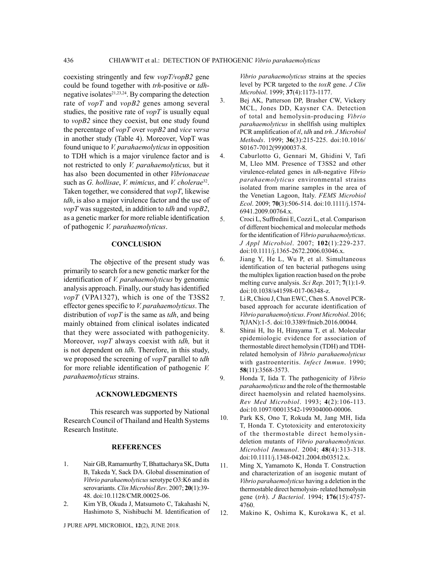coexisting stringently and few *vopT/vopB2* gene could be found together with *trh*-positive or *tdh*negative isolates $2^{1,23,24}$ . By comparing the detection rate of *vopT* and *vopB2* genes among several studies, the positive rate of *vopT* is usually equal to *vopB2* since they coexist, but one study found the percentage of *vopT* over *vopB2* and *vice versa* in another study (Table 4). Moreover, VopT was found unique to *V. parahaemolyticus* in opposition to TDH which is a major virulence factor and is not restricted to only *V. parahaemolyticus,* but it has also been documented in other *Vibrionaceae*  such as *G. hollisae*, *V. mimicus*, and *V. cholerae*32. Taken together, we considered that *vopT*, likewise *tdh*, is also a major virulence factor and the use of *vopT* was suggested, in addition to *tdh* and *vopB2*, as a genetic marker for more reliable identification of pathogenic *V. parahaemolyticus*.

## **CONCLUSION**

The objective of the present study was primarily to search for a new genetic marker for the identification of *V. parahaemolyticus* by genomic analysis approach. Finally, our study has identified *vopT* (VPA1327), which is one of the T3SS2 effector genes specific to *V. parahaemolyticus*. The distribution of *vopT* is the same as *tdh*, and being mainly obtained from clinical isolates indicated that they were associated with pathogenicity. Moreover, *vopT* always coexist with *tdh,* but it is not dependent on *tdh*. Therefore, in this study, we proposed the screening of *vopT* parallel to *tdh* for more reliable identification of pathogenic *V. parahaemolyticus* strains.

### **ACKNOWLEDGMENTS**

This research was supported by National Research Council of Thailand and Health Systems Research Institute.

### **REFERENCES**

- 1. Nair GB, Ramamurthy T, Bhattacharya SK, Dutta B, Takeda Y, Sack DA. Global dissemination of *Vibrio parahaemolyticus* serotype O3:K6 and its serovariants. *Clin Microbiol Rev*. 2007; **20**(1):39- 48. doi:10.1128/CMR.00025-06.
- 2. Kim YB, Okuda J, Matsumoto C, Takahashi N, Hashimoto S, Nishibuchi M. Identification of

J PURE APPL MICROBIOl*,* **12**(2), June 2018.

*Vibrio parahaemolyticus* strains at the species level by PCR targeted to the *toxR* gene. *J Clin Microbiol*. 1999; **37**(4):1173-1177.

- 3. Bej AK, Patterson DP, Brasher CW, Vickery MCL, Jones DD, Kaysner CA. Detection of total and hemolysin-producing *Vibrio parahaemolyticus* in shellfish using multiplex PCR amplification of *tl*, *tdh* and *trh*. *J Microbiol Methods*. 1999; **36**(3):215-225. doi:10.1016/ S0167-7012(99)00037-8.
- 4. Caburlotto G, Gennari M, Ghidini V, Tafi M, Lleo MM. Presence of T3SS2 and other virulence-related genes in *tdh*-negative *Vibrio parahaemolyticus* environmental strains isolated from marine samples in the area of the Venetian Lagoon, Italy. *FEMS Microbiol Ecol*. 2009; **70**(3):506-514. doi:10.1111/j.1574- 6941.2009.00764.x.
- 5. Croci L, Suffredini E, Cozzi L, et al. Comparison of different biochemical and molecular methods for the identification of *Vibrio parahaemolyticus*. *J Appl Microbiol*. 2007; **102**(1):229-237. doi:10.1111/j.1365-2672.2006.03046.x.
- 6. Jiang Y, He L, Wu P, et al. Simultaneous identification of ten bacterial pathogens using the multiplex ligation reaction based on the probe melting curve analysis. *Sci Rep*. 2017; **7**(1):1-9. doi:10.1038/s41598-017-06348-z.
- 7. Li R, Chiou J, Chan EWC, Chen S. A novel PCRbased approach for accurate identification of *Vibrio parahaemolyticus*. *Front Microbiol*. 2016; **7**(JAN):1-5. doi:10.3389/fmicb.2016.00044.
- 8. Shirai H, Ito H, Hirayama T, et al. Molecular epidemiologic evidence for association of thermostable direct hemolysin (TDH) and TDHrelated hemolysin of *Vibrio parahaemolyticus* with gastroenteritis. *Infect Immun*. 1990; **58**(11):3568-3573.
- 9. Honda T, Iida T. The pathogenicity of *Vibrio parahaemolyticus* and the role of the thermostable direct haemolysin and related haemolysins. *Rev Med Microbiol*. 1993; **4**(2):106-113. doi:10.1097/00013542-199304000-00006.
- 10. Park KS, Ono T, Rokuda M, Jang MH, Iida T, Honda T. Cytotoxicity and enterotoxicity of the thermostable direct hemolysindeletion mutants of *Vibrio parahaemolyticus. Microbiol Immunol*. 2004; **48**(4):313-318. doi:10.1111/j.1348-0421.2004.tb03512.x.
- 11. Ming X, Yamamoto K, Honda T. Construction and characterization of an isogenic mutant of *Vibrio parahaemolyticus* having a deletion in the thermostable direct hemolysin- related hemolysin gene (*trh*). *J Bacteriol*. 1994; **176**(15):4757- 4760.
- 12. Makino K, Oshima K, Kurokawa K, et al.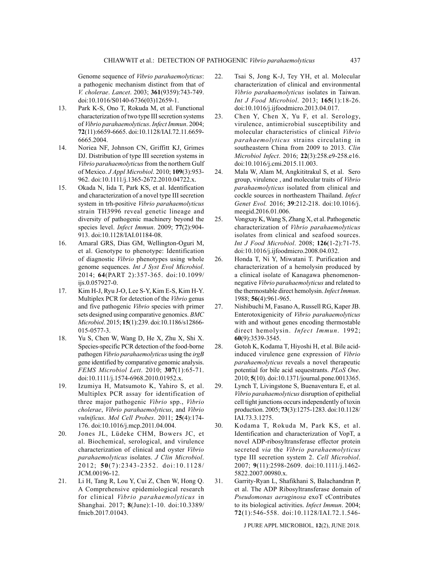Genome sequence of *Vibrio parahaemolyticus*: a pathogenic mechanism distinct from that of *V. cholerae*. *Lancet*. 2003; **361**(9359):743-749. doi:10.1016/S0140-6736(03)12659-1.

- 13. Park K-S, Ono T, Rokuda M, et al. Functional characterization of two type III secretion systems of *Vibrio parahaemolyticus*. *Infect Immun*. 2004; **72**(11):6659-6665. doi:10.1128/IAI.72.11.6659- 6665.2004.
- 14. Noriea NF, Johnson CN, Griffitt KJ, Grimes DJ. Distribution of type III secretion systems in *Vibrio parahaemolyticus* from the northern Gulf of Mexico. *J Appl Microbiol*. 2010; **109**(3):953- 962. doi:10.1111/j.1365-2672.2010.04722.x.
- 15. Okada N, Iida T, Park KS, et al. Identification and characterization of a novel type III secretion system in trh-positive *Vibrio parahaemolyticus* strain TH3996 reveal genetic lineage and diversity of pathogenic machinery beyond the species level. *Infect Immun*. 2009; **77**(2):904- 913. doi:10.1128/IAI.01184-08.
- 16. Amaral GRS, Dias GM, Wellington-Oguri M, et al. Genotype to phenotype: Identification of diagnostic *Vibrio* phenotypes using whole genome sequences. *Int J Syst Evol Microbiol*. 2014; **64**(PART 2):357-365. doi:10.1099/ ijs.0.057927-0.
- 17. Kim H-J, Ryu J-O, Lee S-Y, Kim E-S, Kim H-Y. Multiplex PCR for detection of the *Vibrio* genus and five pathogenic *Vibrio* species with primer sets designed using comparative genomics. *BMC Microbiol*. 2015; **15**(1):239. doi:10.1186/s12866- 015-0577-3.
- 18. Yu S, Chen W, Wang D, He X, Zhu X, Shi X. Species-specific PCR detection of the food-borne pathogen *Vibrio parahaemolyticus* using the *irgB* gene identified by comparative genomic analysis. *FEMS Microbiol Lett*. 2010; **307**(1):65-71. doi:10.1111/j.1574-6968.2010.01952.x.
- 19. Izumiya H, Matsumoto K, Yahiro S, et al. Multiplex PCR assay for identification of three major pathogenic *Vibrio* spp., *Vibrio cholerae*, *Vibrio parahaemolyticus*, and *Vibrio vulnificus*. *Mol Cell Probes*. 2011; **25**(4):174- 176. doi:10.1016/j.mcp.2011.04.004.
- 20. Jones JL, Lüdeke CHM, Bowers JC, et al. Biochemical, serological, and virulence characterization of clinical and oyster *Vibrio parahaemolyticus* isolates. *J Clin Microbiol*. 2012; **50**(7):2343-2352. doi:10.1128/ JCM.00196-12.
- 21. Li H, Tang R, Lou Y, Cui Z, Chen W, Hong Q. A Comprehensive epidemiological research for clinical *Vibrio parahaemolyticus* in Shanghai. 2017; **8**(June):1-10. doi:10.3389/ fmicb.2017.01043.
- 22. Tsai S, Jong K-J, Tey YH, et al. Molecular characterization of clinical and environmental *Vibrio parahaemolyticus* isolates in Taiwan. *Int J Food Microbiol*. 2013; **165**(1):18-26. doi:10.1016/j.ijfoodmicro.2013.04.017.
- 23. Chen Y, Chen X, Yu F, et al. Serology, virulence, antimicrobial susceptibility and molecular characteristics of clinical *Vibrio parahaemolyticus* strains circulating in southeastern China from 2009 to 2013. *Clin Microbiol Infect*. 2016; **22**(3):258.e9-258.e16. doi:10.1016/j.cmi.2015.11.003.
- 24. Mala W, Alam M, Angkititrakul S, et al. Sero group, virulence , and molecular traits of *Vibrio parahaemolyticus* isolated from clinical and cockle sources in northeastern Thailand. *Infect Genet Evol.* 2016; **39**:212-218. doi:10.1016/j. meegid.2016.01.006.
- 25. Vongxay K, Wang S, Zhang X, et al. Pathogenetic characterization of *Vibrio parahaemolyticus* isolates from clinical and seafood sources. *Int J Food Microbiol*. 2008; **126**(1-2):71-75. doi:10.1016/j.ijfoodmicro.2008.04.032.
- 26. Honda T, Ni Y, Miwatani T. Purification and characterization of a hemolysin produced by a clinical isolate of Kanagawa phenomenonnegative *Vibrio parahaemolyticus* and related to the thermostable direct hemolysin. *Infect Immun*. 1988; **56**(4):961-965.
- 27. Nishibuchi M, Fasano A, Russell RG, Kaper JB. Enterotoxigenicity of *Vibrio parahaemolyticus* with and without genes encoding thermostable direct hemolysin. *Infect Immun*. 1992; **60**(9):3539-3545.
- 28. Gotoh K, Kodama T, Hiyoshi H, et al. Bile acidinduced virulence gene expression of *Vibrio parahaemolyticus* reveals a novel therapeutic potential for bile acid sequestrants. *PLoS One*. 2010; **5**(10). doi:10.1371/journal.pone.0013365.
- 29. Lynch T, Livingstone S, Buenaventura E, et al. *Vibrio parahaemolyticus* disruption of epithelial cell tight junctions occurs independently of toxin production. 2005; **73**(3):1275-1283. doi:10.1128/ IAI.73.3.1275.
- 30. Kodama T, Rokuda M, Park KS, et al. Identification and characterization of VopT, a novel ADP-ribosyltransferase effector protein secreted *via* the *Vibrio parahaemolyticus* type III secretion system 2. *Cell Microbiol*. 2007; **9**(11):2598-2609. doi:10.1111/j.1462- 5822.2007.00980.x.
- 31. Garrity-Ryan L, Shafikhani S, Balachandran P, et al. The ADP Ribosyltransferase domain of *Pseudomonas aeruginosa* exoT cContributes to its biological activities. *Infect Immun*. 2004; **72**(1):546-558. doi:10.1128/IAI.72.1.546-